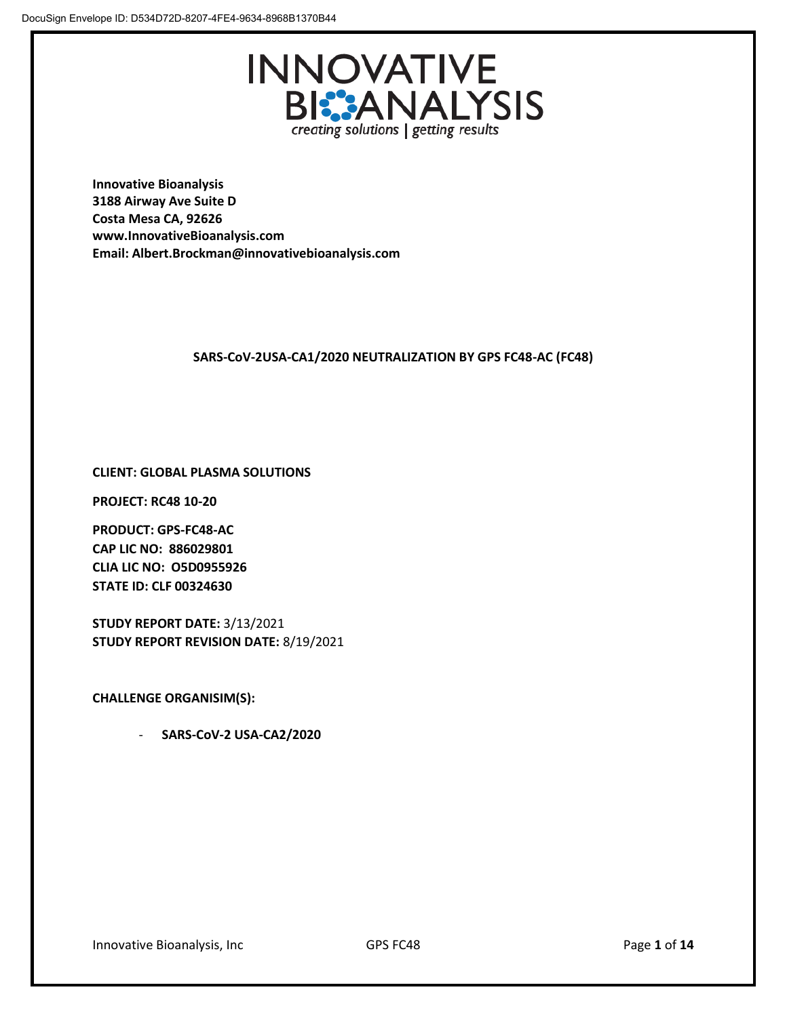

**Innovative Bioanalysis 3188 Airway Ave Suite D Costa Mesa CA, 92626 www.InnovativeBioanalysis.com Email: Albert.Brockman@innovativebioanalysis.com**

# **SARS-CoV-2USA-CA1/2020 NEUTRALIZATION BY GPS FC48-AC (FC48)**

# **CLIENT: GLOBAL PLASMA SOLUTIONS**

**PROJECT: RC48 10-20**

**PRODUCT: GPS-FC48-AC CAP LIC NO: 886029801 CLIA LIC NO: O5D0955926 STATE ID: CLF 00324630**

**STUDY REPORT DATE:** 3/13/2021 **STUDY REPORT REVISION DATE:** 8/19/2021

**CHALLENGE ORGANISIM(S):** 

- **SARS-CoV-2 USA-CA2/2020**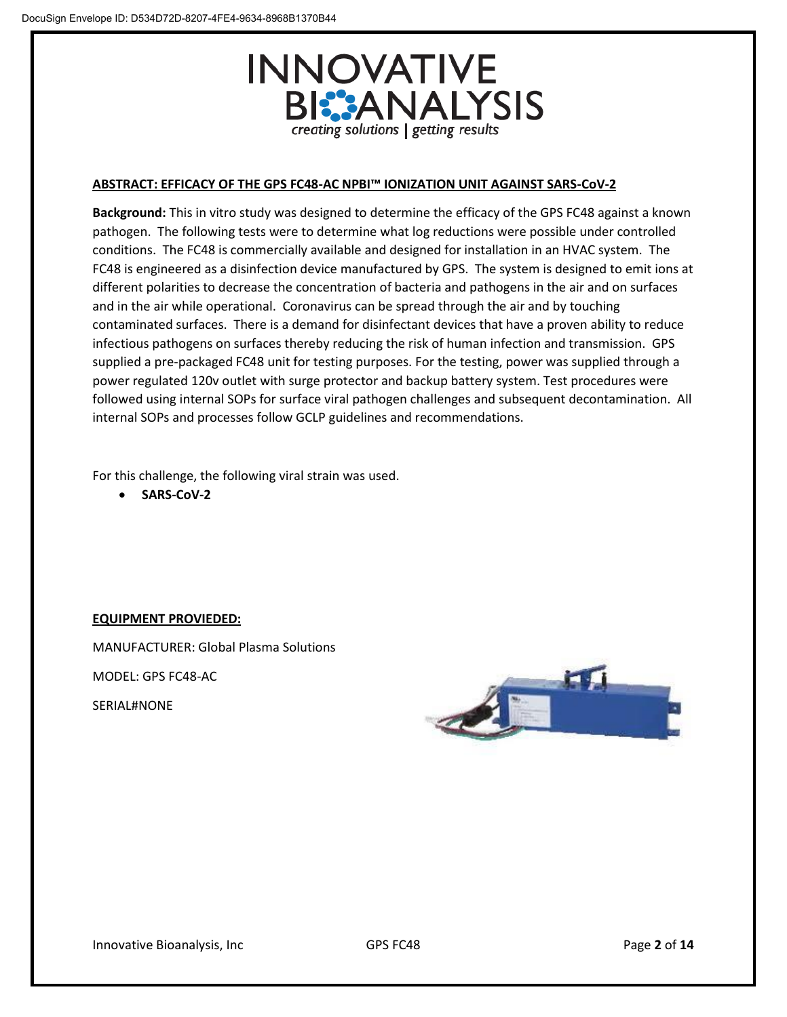

#### **ABSTRACT: EFFICACY OF THE GPS FC48-AC NPBI™ IONIZATION UNIT AGAINST SARS-CoV-2**

**Background:** This in vitro study was designed to determine the efficacy of the GPS FC48 against a known pathogen. The following tests were to determine what log reductions were possible under controlled conditions. The FC48 is commercially available and designed for installation in an HVAC system. The FC48 is engineered as a disinfection device manufactured by GPS. The system is designed to emit ions at different polarities to decrease the concentration of bacteria and pathogens in the air and on surfaces and in the air while operational. Coronavirus can be spread through the air and by touching contaminated surfaces. There is a demand for disinfectant devices that have a proven ability to reduce infectious pathogens on surfaces thereby reducing the risk of human infection and transmission. GPS supplied a pre-packaged FC48 unit for testing purposes. For the testing, power was supplied through a power regulated 120v outlet with surge protector and backup battery system. Test procedures were followed using internal SOPs for surface viral pathogen challenges and subsequent decontamination. All internal SOPs and processes follow GCLP guidelines and recommendations.

For this challenge, the following viral strain was used.

• **SARS-CoV-2**

# **EQUIPMENT PROVIEDED:**

MANUFACTURER: Global Plasma Solutions

MODEL: GPS FC48-AC

SERIAL#NONE

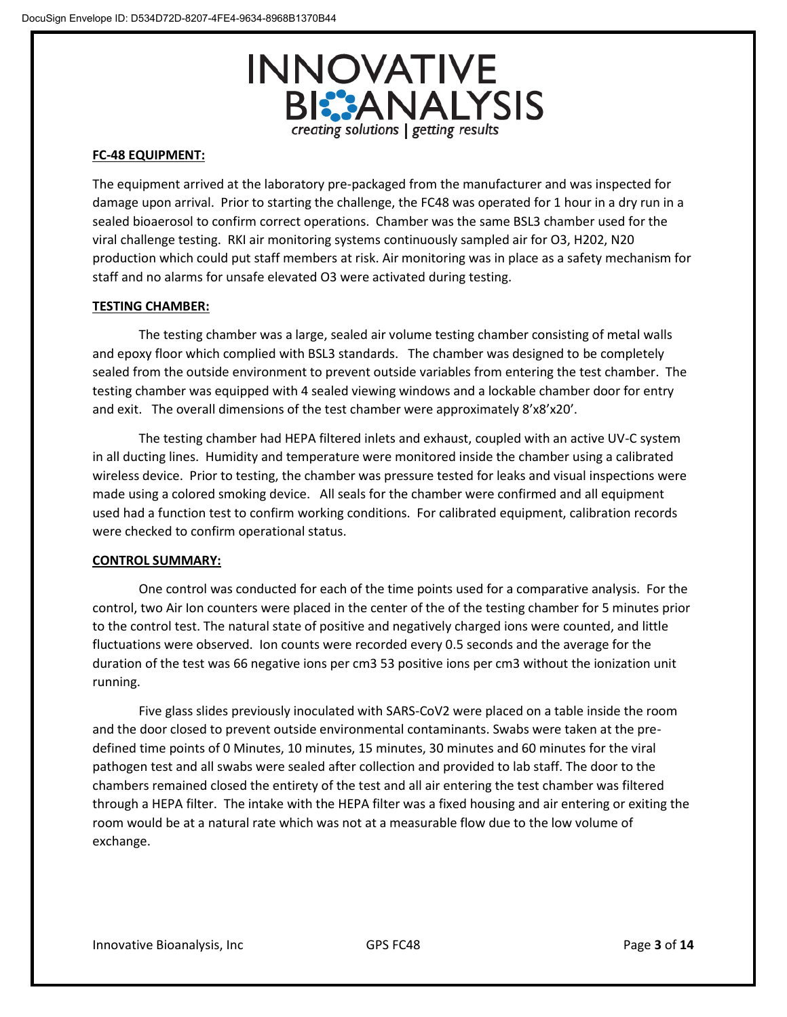

## **FC-48 EQUIPMENT:**

The equipment arrived at the laboratory pre-packaged from the manufacturer and was inspected for damage upon arrival. Prior to starting the challenge, the FC48 was operated for 1 hour in a dry run in a sealed bioaerosol to confirm correct operations. Chamber was the same BSL3 chamber used for the viral challenge testing. RKI air monitoring systems continuously sampled air for O3, H202, N20 production which could put staff members at risk. Air monitoring was in place as a safety mechanism for staff and no alarms for unsafe elevated O3 were activated during testing.

## **TESTING CHAMBER:**

The testing chamber was a large, sealed air volume testing chamber consisting of metal walls and epoxy floor which complied with BSL3 standards. The chamber was designed to be completely sealed from the outside environment to prevent outside variables from entering the test chamber. The testing chamber was equipped with 4 sealed viewing windows and a lockable chamber door for entry and exit. The overall dimensions of the test chamber were approximately 8'x8'x20'.

The testing chamber had HEPA filtered inlets and exhaust, coupled with an active UV-C system in all ducting lines. Humidity and temperature were monitored inside the chamber using a calibrated wireless device. Prior to testing, the chamber was pressure tested for leaks and visual inspections were made using a colored smoking device. All seals for the chamber were confirmed and all equipment used had a function test to confirm working conditions. For calibrated equipment, calibration records were checked to confirm operational status.

#### **CONTROL SUMMARY:**

One control was conducted for each of the time points used for a comparative analysis. For the control, two Air Ion counters were placed in the center of the of the testing chamber for 5 minutes prior to the control test. The natural state of positive and negatively charged ions were counted, and little fluctuations were observed. Ion counts were recorded every 0.5 seconds and the average for the duration of the test was 66 negative ions per cm3 53 positive ions per cm3 without the ionization unit running.

Five glass slides previously inoculated with SARS-CoV2 were placed on a table inside the room and the door closed to prevent outside environmental contaminants. Swabs were taken at the predefined time points of 0 Minutes, 10 minutes, 15 minutes, 30 minutes and 60 minutes for the viral pathogen test and all swabs were sealed after collection and provided to lab staff. The door to the chambers remained closed the entirety of the test and all air entering the test chamber was filtered through a HEPA filter. The intake with the HEPA filter was a fixed housing and air entering or exiting the room would be at a natural rate which was not at a measurable flow due to the low volume of exchange.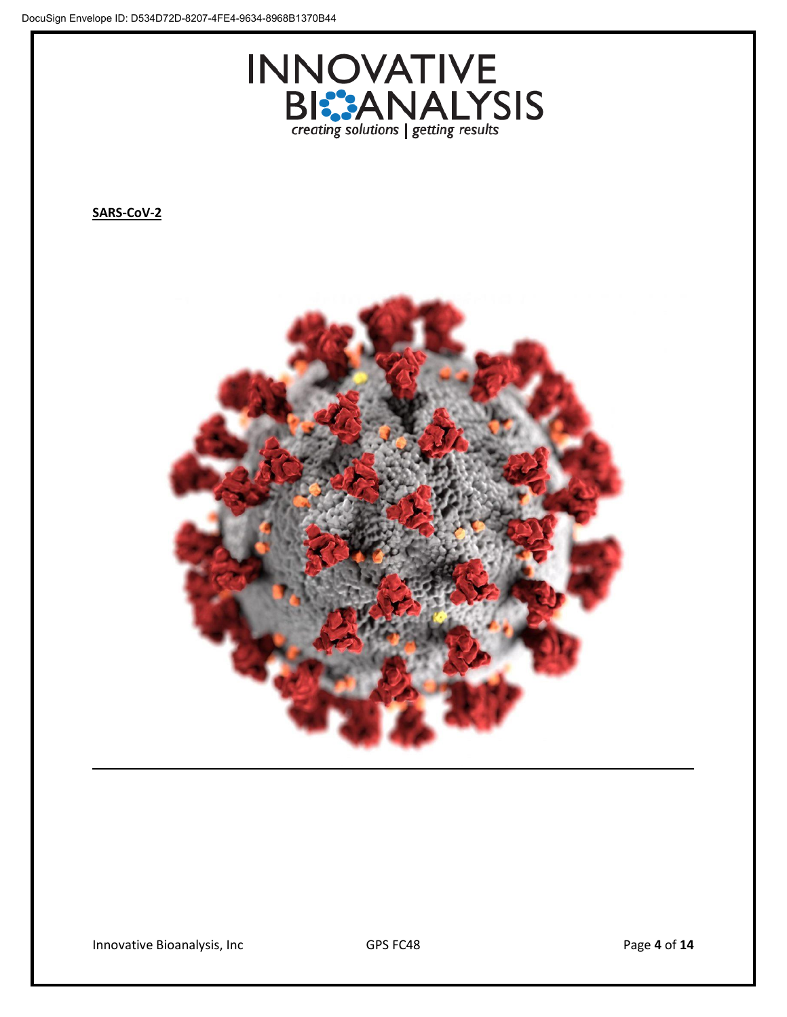

**SARS-CoV-2**

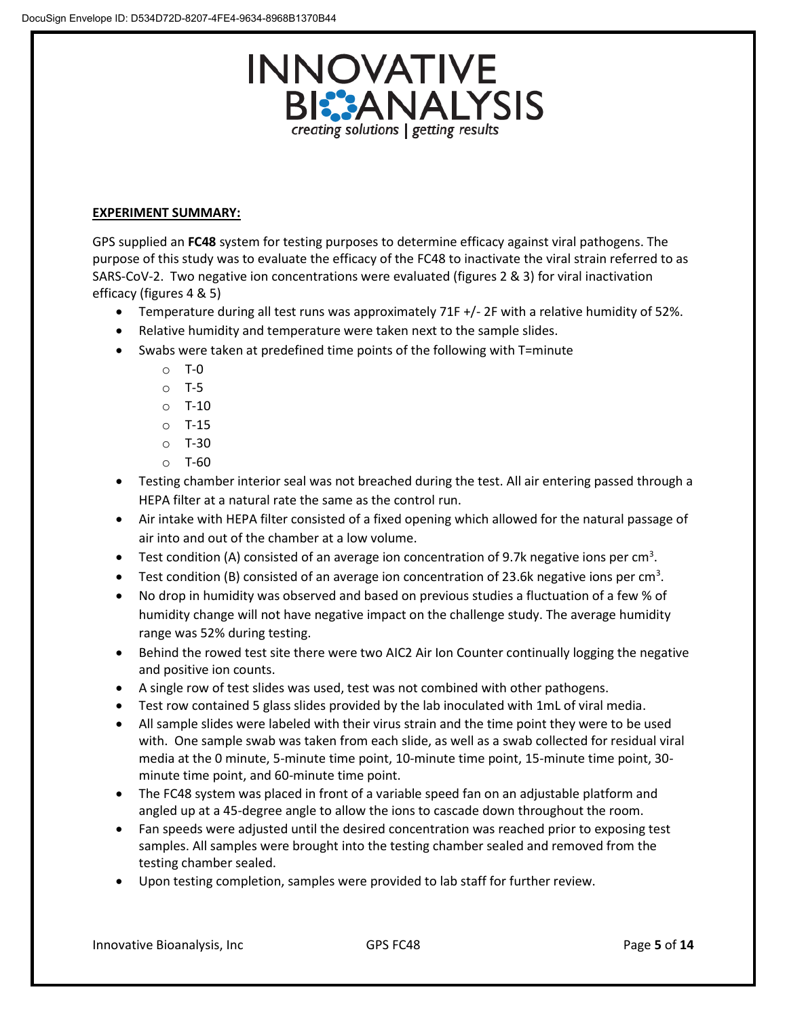

# **EXPERIMENT SUMMARY:**

GPS supplied an **FC48** system for testing purposes to determine efficacy against viral pathogens. The purpose of this study was to evaluate the efficacy of the FC48 to inactivate the viral strain referred to as SARS-CoV-2. Two negative ion concentrations were evaluated (figures 2 & 3) for viral inactivation efficacy (figures 4 & 5)

- Temperature during all test runs was approximately 71F +/- 2F with a relative humidity of 52%.
- Relative humidity and temperature were taken next to the sample slides.
- Swabs were taken at predefined time points of the following with T=minute
	- o T-0
	- o T-5
	- $O$  T-10
	- o T-15
	- o T-30
	- o T-60
- Testing chamber interior seal was not breached during the test. All air entering passed through a HEPA filter at a natural rate the same as the control run.
- Air intake with HEPA filter consisted of a fixed opening which allowed for the natural passage of air into and out of the chamber at a low volume.
- Test condition (A) consisted of an average ion concentration of 9.7k negative ions per cm<sup>3</sup>.
- Test condition (B) consisted of an average ion concentration of 23.6k negative ions per cm<sup>3</sup>.
- No drop in humidity was observed and based on previous studies a fluctuation of a few % of humidity change will not have negative impact on the challenge study. The average humidity range was 52% during testing.
- Behind the rowed test site there were two AIC2 Air Ion Counter continually logging the negative and positive ion counts.
- A single row of test slides was used, test was not combined with other pathogens.
- Test row contained 5 glass slides provided by the lab inoculated with 1mL of viral media.
- All sample slides were labeled with their virus strain and the time point they were to be used with. One sample swab was taken from each slide, as well as a swab collected for residual viral media at the 0 minute, 5-minute time point, 10-minute time point, 15-minute time point, 30 minute time point, and 60-minute time point.
- The FC48 system was placed in front of a variable speed fan on an adjustable platform and angled up at a 45-degree angle to allow the ions to cascade down throughout the room.
- Fan speeds were adjusted until the desired concentration was reached prior to exposing test samples. All samples were brought into the testing chamber sealed and removed from the testing chamber sealed.
- Upon testing completion, samples were provided to lab staff for further review.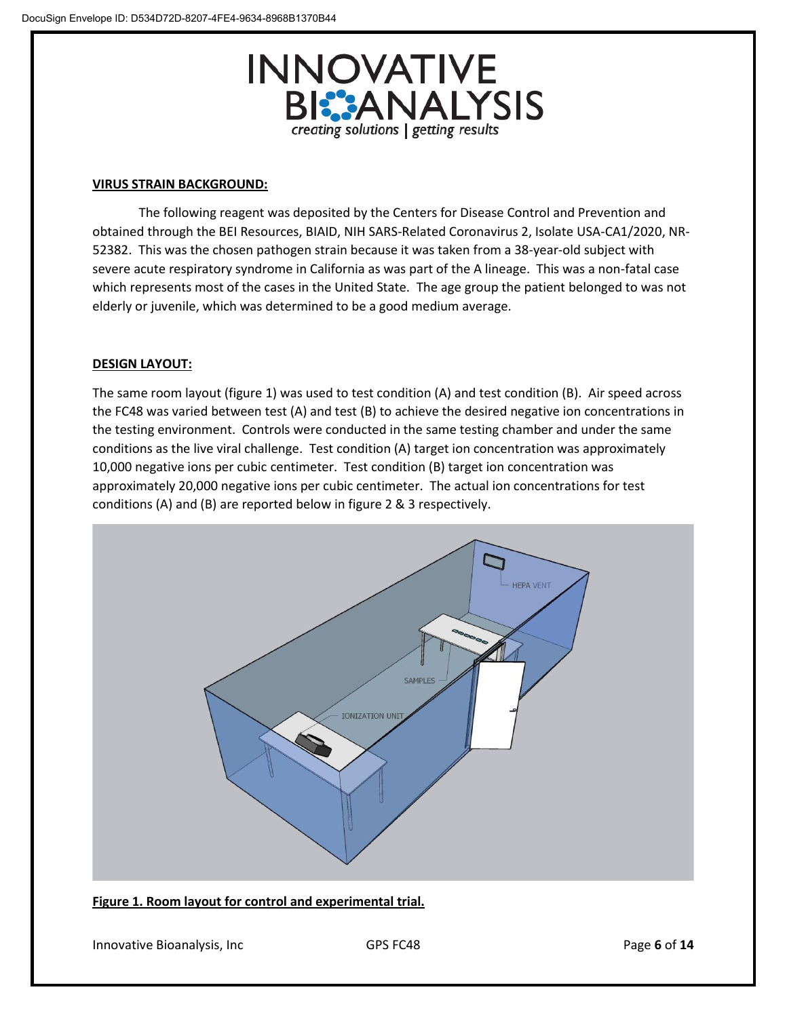

#### **VIRUS STRAIN BACKGROUND:**

The following reagent was deposited by the Centers for Disease Control and Prevention and obtained through the BEI Resources, BIAID, NIH SARS-Related Coronavirus 2, Isolate USA-CA1/2020, NR-52382. This was the chosen pathogen strain because it was taken from a 38-year-old subject with severe acute respiratory syndrome in California as was part of the A lineage. This was a non-fatal case which represents most of the cases in the United State. The age group the patient belonged to was not elderly or juvenile, which was determined to be a good medium average.

# **DESIGN LAYOUT:**

The same room layout (figure 1) was used to test condition (A) and test condition (B). Air speed across the FC48 was varied between test (A) and test (B) to achieve the desired negative ion concentrations in the testing environment. Controls were conducted in the same testing chamber and under the same conditions as the live viral challenge. Test condition (A) target ion concentration was approximately 10,000 negative ions per cubic centimeter. Test condition (B) target ion concentration was approximately 20,000 negative ions per cubic centimeter. The actual ion concentrations for test conditions (A) and (B) are reported below in figure 2 & 3 respectively.



# **Figure 1. Room layout for control and experimental trial.**

Innovative Bioanalysis, Inc GPS FC48 **GPS FC48** Page 6 of 14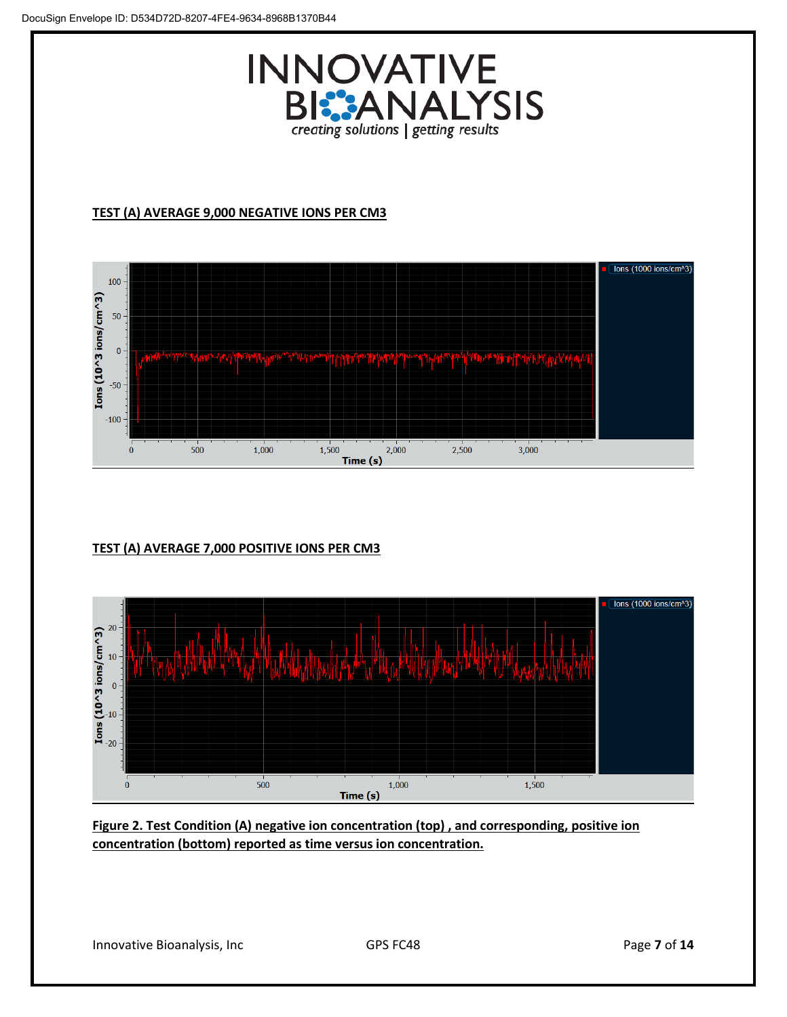

# **TEST (A) AVERAGE 9,000 NEGATIVE IONS PER CM3**



# **TEST (A) AVERAGE 7,000 POSITIVE IONS PER CM3**



**Figure 2. Test Condition (A) negative ion concentration (top) , and corresponding, positive ion concentration (bottom) reported as time versus ion concentration.**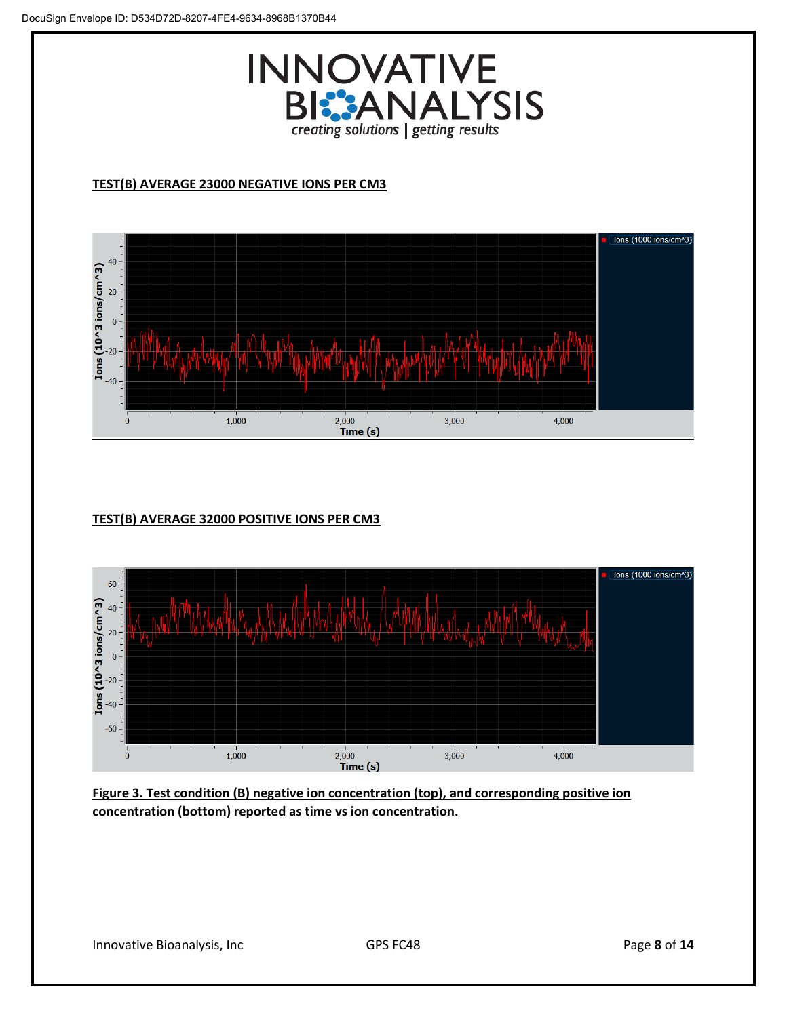

# **TEST(B) AVERAGE 23000 NEGATIVE IONS PER CM3**



# **TEST(B) AVERAGE 32000 POSITIVE IONS PER CM3**



**Figure 3. Test condition (B) negative ion concentration (top), and corresponding positive ion concentration (bottom) reported as time vs ion concentration.**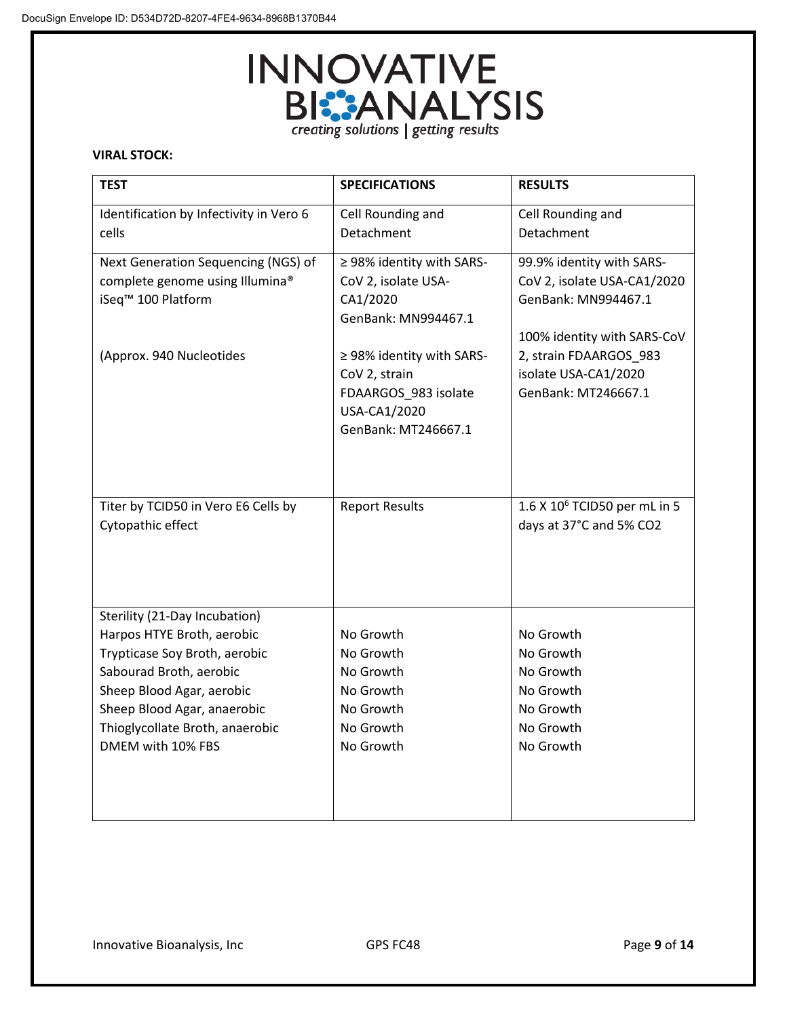

# **VIRAL STOCK:**

| <b>TEST</b>                             | <b>SPECIFICATIONS</b>     | <b>RESULTS</b>                           |
|-----------------------------------------|---------------------------|------------------------------------------|
| Identification by Infectivity in Vero 6 | Cell Rounding and         | Cell Rounding and                        |
| cells                                   | Detachment                | Detachment                               |
| Next Generation Sequencing (NGS) of     | ≥ 98% identity with SARS- | 99.9% identity with SARS-                |
| complete genome using Illumina®         | CoV 2, isolate USA-       | CoV 2, isolate USA-CA1/2020              |
| iSeq <sup>™</sup> 100 Platform          | CA1/2020                  | GenBank: MN994467.1                      |
|                                         | GenBank: MN994467.1       |                                          |
|                                         |                           | 100% identity with SARS-CoV              |
| (Approx. 940 Nucleotides                | ≥ 98% identity with SARS- | 2, strain FDAARGOS_983                   |
|                                         | CoV 2, strain             | isolate USA-CA1/2020                     |
|                                         | FDAARGOS 983 isolate      | GenBank: MT246667.1                      |
|                                         | USA-CA1/2020              |                                          |
|                                         | GenBank: MT246667.1       |                                          |
|                                         |                           |                                          |
|                                         |                           |                                          |
|                                         |                           |                                          |
| Titer by TCID50 in Vero E6 Cells by     | <b>Report Results</b>     | 1.6 X 10 <sup>6</sup> TCID50 per mL in 5 |
| Cytopathic effect                       |                           | days at 37°C and 5% CO2                  |
|                                         |                           |                                          |
|                                         |                           |                                          |
|                                         |                           |                                          |
| Sterility (21-Day Incubation)           |                           |                                          |
| Harpos HTYE Broth, aerobic              | No Growth                 | No Growth                                |
| Trypticase Soy Broth, aerobic           | No Growth                 | No Growth                                |
| Sabourad Broth, aerobic                 | No Growth                 | No Growth                                |
| Sheep Blood Agar, aerobic               | No Growth                 | No Growth                                |
| Sheep Blood Agar, anaerobic             | No Growth                 | No Growth                                |
| Thioglycollate Broth, anaerobic         | No Growth                 | No Growth                                |
| DMEM with 10% FBS                       | No Growth                 | No Growth                                |
|                                         |                           |                                          |
|                                         |                           |                                          |
|                                         |                           |                                          |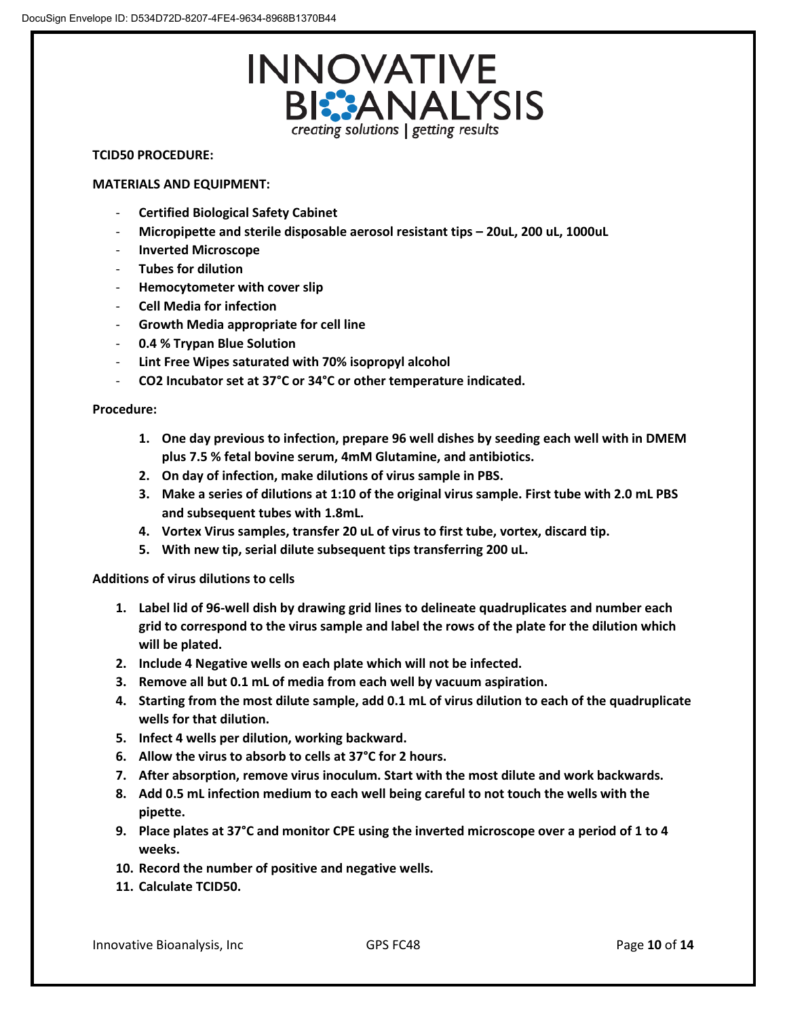

#### **TCID50 PROCEDURE:**

#### **MATERIALS AND EQUIPMENT:**

- **Certified Biological Safety Cabinet**
- **Micropipette and sterile disposable aerosol resistant tips – 20uL, 200 uL, 1000uL**
- **Inverted Microscope**
- **Tubes for dilution**
- **Hemocytometer with cover slip**
- **Cell Media for infection**
- **Growth Media appropriate for cell line**
- **0.4 % Trypan Blue Solution**
- **Lint Free Wipes saturated with 70% isopropyl alcohol**
- **CO2 Incubator set at 37°C or 34°C or other temperature indicated.**

**Procedure:**

- **1. One day previous to infection, prepare 96 well dishes by seeding each well with in DMEM plus 7.5 % fetal bovine serum, 4mM Glutamine, and antibiotics.**
- **2. On day of infection, make dilutions of virus sample in PBS.**
- **3. Make a series of dilutions at 1:10 of the original virus sample. First tube with 2.0 mL PBS and subsequent tubes with 1.8mL.**
- **4. Vortex Virus samples, transfer 20 uL of virus to first tube, vortex, discard tip.**
- **5. With new tip, serial dilute subsequent tips transferring 200 uL.**

**Additions of virus dilutions to cells**

- **1. Label lid of 96-well dish by drawing grid lines to delineate quadruplicates and number each grid to correspond to the virus sample and label the rows of the plate for the dilution which will be plated.**
- **2. Include 4 Negative wells on each plate which will not be infected.**
- **3. Remove all but 0.1 mL of media from each well by vacuum aspiration.**
- **4. Starting from the most dilute sample, add 0.1 mL of virus dilution to each of the quadruplicate wells for that dilution.**
- **5. Infect 4 wells per dilution, working backward.**
- **6. Allow the virus to absorb to cells at 37°C for 2 hours.**
- **7. After absorption, remove virus inoculum. Start with the most dilute and work backwards.**
- **8. Add 0.5 mL infection medium to each well being careful to not touch the wells with the pipette.**
- **9. Place plates at 37°C and monitor CPE using the inverted microscope over a period of 1 to 4 weeks.**
- **10. Record the number of positive and negative wells.**
- **11. Calculate TCID50.**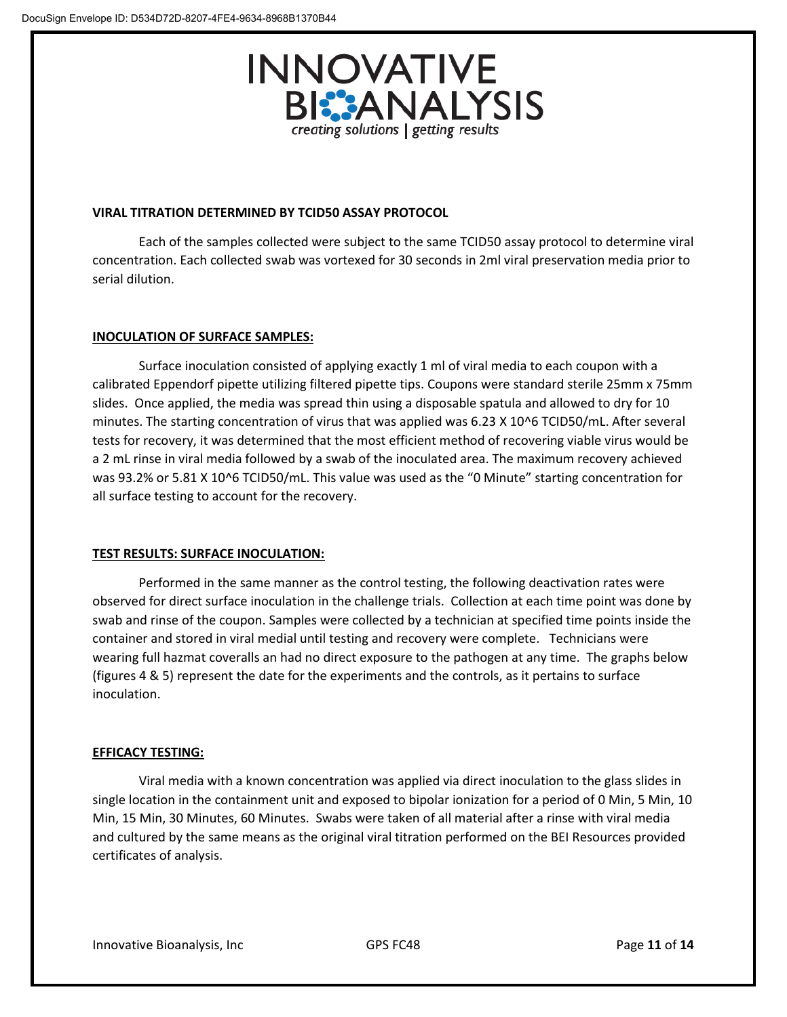

## **VIRAL TITRATION DETERMINED BY TCID50 ASSAY PROTOCOL**

Each of the samples collected were subject to the same TCID50 assay protocol to determine viral concentration. Each collected swab was vortexed for 30 seconds in 2ml viral preservation media prior to serial dilution.

## **INOCULATION OF SURFACE SAMPLES:**

Surface inoculation consisted of applying exactly 1 ml of viral media to each coupon with a calibrated Eppendorf pipette utilizing filtered pipette tips. Coupons were standard sterile 25mm x 75mm slides. Once applied, the media was spread thin using a disposable spatula and allowed to dry for 10 minutes. The starting concentration of virus that was applied was 6.23 X 10^6 TCID50/mL. After several tests for recovery, it was determined that the most efficient method of recovering viable virus would be a 2 mL rinse in viral media followed by a swab of the inoculated area. The maximum recovery achieved was 93.2% or 5.81 X 10^6 TCID50/mL. This value was used as the "0 Minute" starting concentration for all surface testing to account for the recovery.

# **TEST RESULTS: SURFACE INOCULATION:**

Performed in the same manner as the control testing, the following deactivation rates were observed for direct surface inoculation in the challenge trials. Collection at each time point was done by swab and rinse of the coupon. Samples were collected by a technician at specified time points inside the container and stored in viral medial until testing and recovery were complete. Technicians were wearing full hazmat coveralls an had no direct exposure to the pathogen at any time. The graphs below (figures 4 & 5) represent the date for the experiments and the controls, as it pertains to surface inoculation.

#### **EFFICACY TESTING:**

Viral media with a known concentration was applied via direct inoculation to the glass slides in single location in the containment unit and exposed to bipolar ionization for a period of 0 Min, 5 Min, 10 Min, 15 Min, 30 Minutes, 60 Minutes. Swabs were taken of all material after a rinse with viral media and cultured by the same means as the original viral titration performed on the BEI Resources provided certificates of analysis.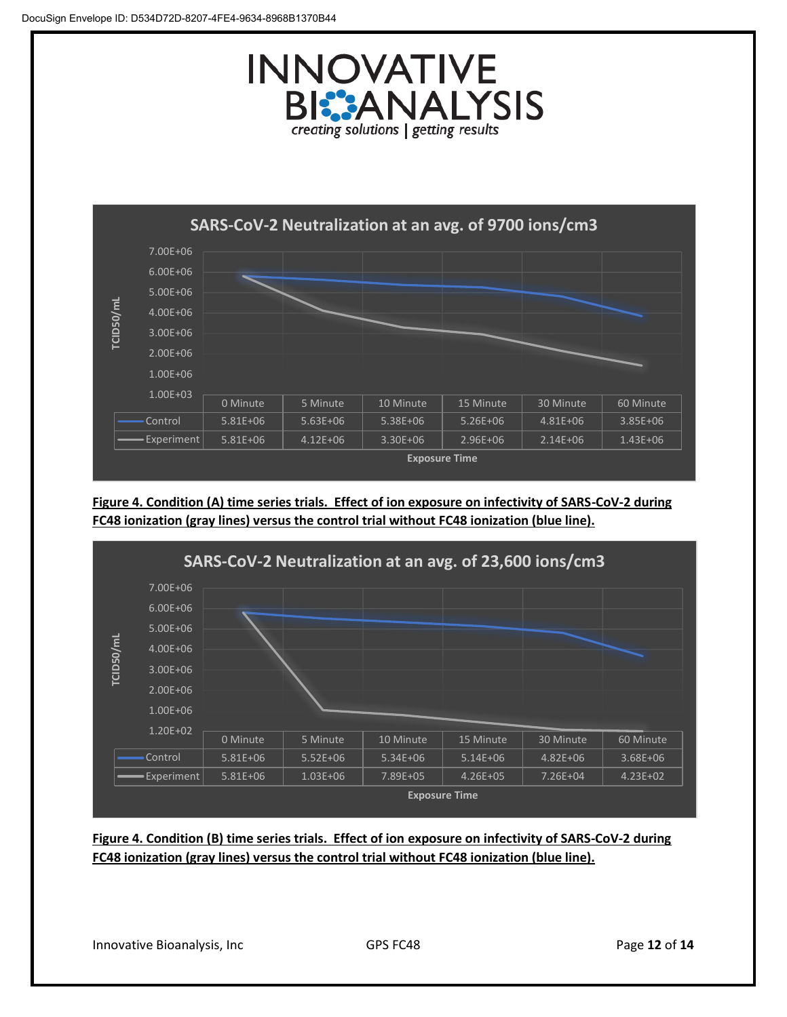



**Figure 4. Condition (A) time series trials. Effect of ion exposure on infectivity of SARS-CoV-2 during FC48 ionization (gray lines) versus the control trial without FC48 ionization (blue line).**



**Figure 4. Condition (B) time series trials. Effect of ion exposure on infectivity of SARS-CoV-2 during FC48 ionization (gray lines) versus the control trial without FC48 ionization (blue line).**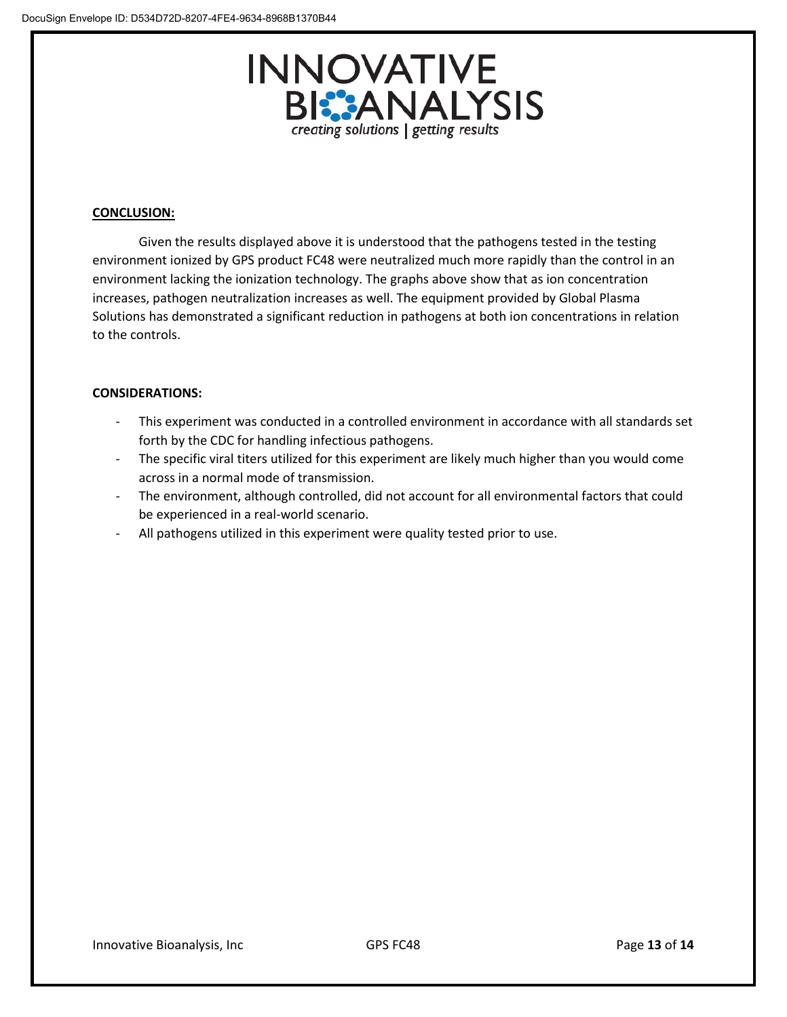

## **CONCLUSION:**

Given the results displayed above it is understood that the pathogens tested in the testing environment ionized by GPS product FC48 were neutralized much more rapidly than the control in an environment lacking the ionization technology. The graphs above show that as ion concentration increases, pathogen neutralization increases as well. The equipment provided by Global Plasma Solutions has demonstrated a significant reduction in pathogens at both ion concentrations in relation to the controls.

## **CONSIDERATIONS:**

- This experiment was conducted in a controlled environment in accordance with all standards set forth by the CDC for handling infectious pathogens.
- The specific viral titers utilized for this experiment are likely much higher than you would come across in a normal mode of transmission.
- The environment, although controlled, did not account for all environmental factors that could be experienced in a real-world scenario.
- All pathogens utilized in this experiment were quality tested prior to use.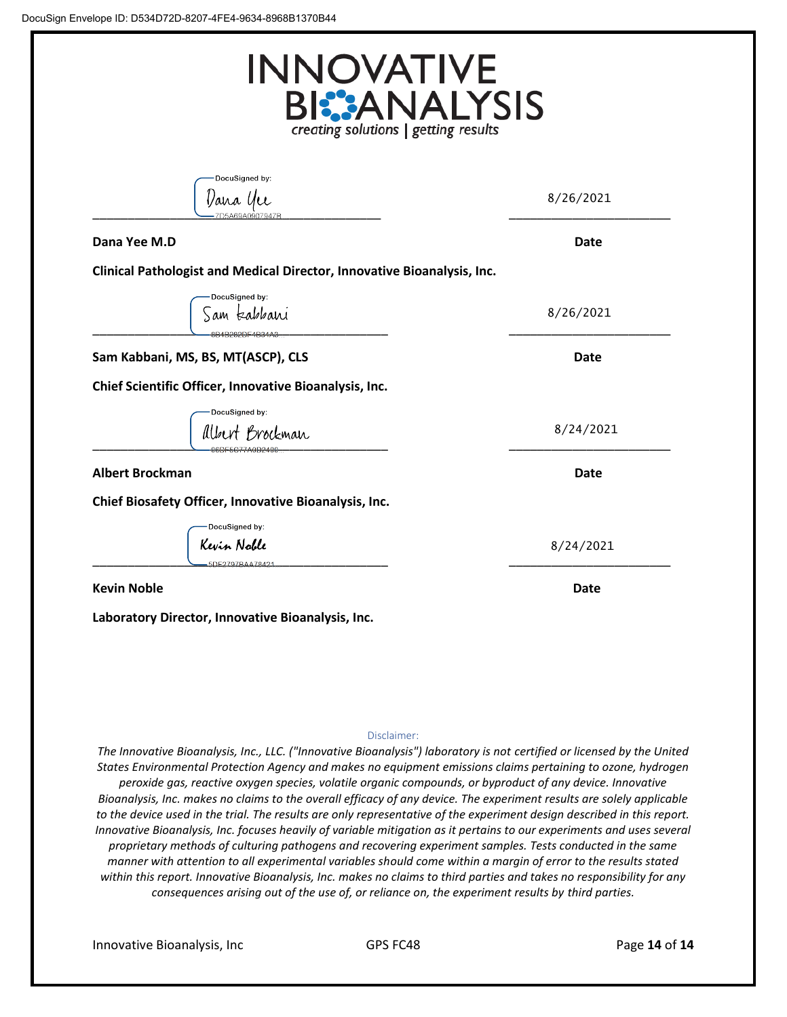| <b>INNOVATIVE</b><br><b>BI:</b> ANALYSIS<br>creating solutions   getting results |             |  |
|----------------------------------------------------------------------------------|-------------|--|
| DocuSigned by:<br>Vana Yee                                                       | 8/26/2021   |  |
| Dana Yee M.D                                                                     | Date        |  |
| Clinical Pathologist and Medical Director, Innovative Bioanalysis, Inc.          |             |  |
| DocuSigned by:<br>am kabbani<br>8B4B282DE4B344                                   | 8/26/2021   |  |
| Sam Kabbani, MS, BS, MT(ASCP), CLS                                               | Date        |  |
| Chief Scientific Officer, Innovative Bioanalysis, Inc.                           |             |  |
| DocuSigned by:<br>Albert Brockman<br><b>ADE5C77A0D240</b>                        | 8/24/2021   |  |
| <b>Albert Brockman</b>                                                           | <b>Date</b> |  |
| Chief Biosafety Officer, Innovative Bioanalysis, Inc.                            |             |  |
| DocuSigned by:<br>Kevin Noble<br>5DE2797BAA78421                                 | 8/24/2021   |  |
| <b>Kevin Noble</b>                                                               | Date        |  |

#### Disclaimer:

*The Innovative Bioanalysis, Inc., LLC. ("Innovative Bioanalysis") laboratory is not certified or licensed by the United States Environmental Protection Agency and makes no equipment emissions claims pertaining to ozone, hydrogen peroxide gas, reactive oxygen species, volatile organic compounds, or byproduct of any device. Innovative Bioanalysis, Inc. makes no claims to the overall efficacy of any device. The experiment results are solely applicable to the device used in the trial. The results are only representative of the experiment design described in this report. Innovative Bioanalysis, Inc. focuses heavily of variable mitigation as it pertains to our experiments and uses several proprietary methods of culturing pathogens and recovering experiment samples. Tests conducted in the same manner with attention to all experimental variables should come within a margin of error to the results stated within this report. Innovative Bioanalysis, Inc. makes no claims to third parties and takes no responsibility for any consequences arising out of the use of, or reliance on, the experiment results by third parties.*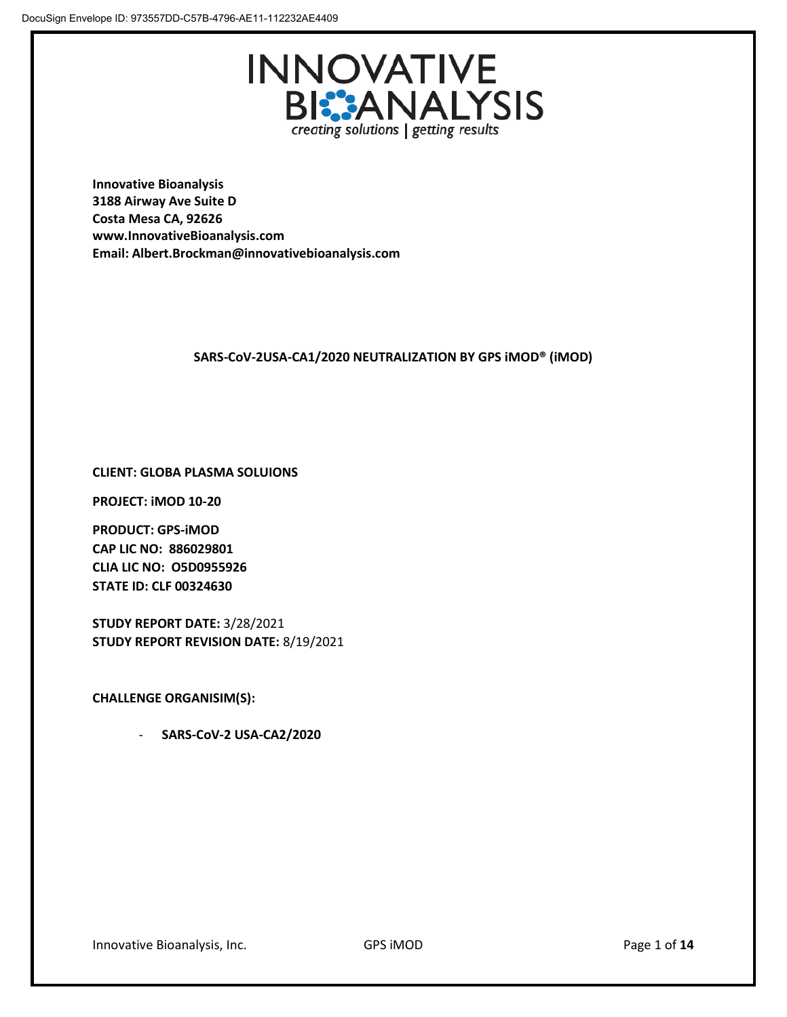

**Innovative Bioanalysis 3188 Airway Ave Suite D Costa Mesa CA, 92626 www.InnovativeBioanalysis.com Email: Albert.Brockman@innovativebioanalysis.com**

# **SARS-CoV-2USA-CA1/2020 NEUTRALIZATION BY GPS iMOD® (iMOD)**

# **CLIENT: GLOBA PLASMA SOLUIONS**

**PROJECT: iMOD 10-20**

**PRODUCT: GPS-iMOD CAP LIC NO: 886029801 CLIA LIC NO: O5D0955926 STATE ID: CLF 00324630**

**STUDY REPORT DATE:** 3/28/2021 **STUDY REPORT REVISION DATE:** 8/19/2021

**CHALLENGE ORGANISIM(S):** 

- **SARS-CoV-2 USA-CA2/2020**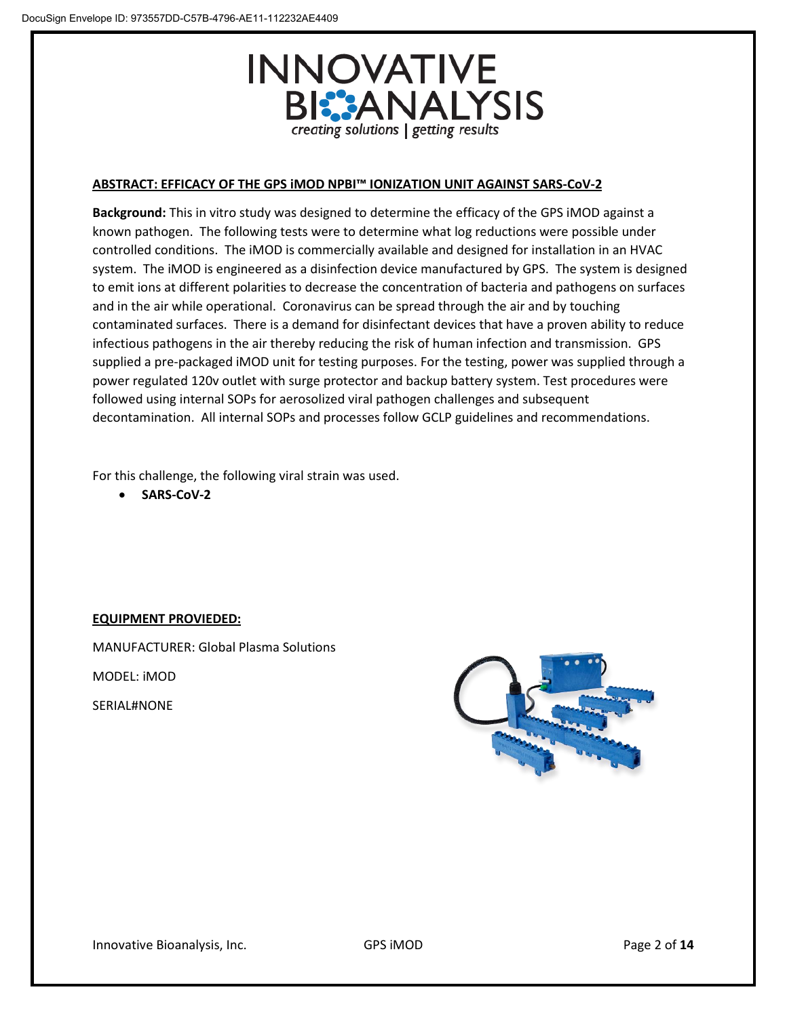

## **ABSTRACT: EFFICACY OF THE GPS iMOD NPBI™ IONIZATION UNIT AGAINST SARS-CoV-2**

**Background:** This in vitro study was designed to determine the efficacy of the GPS iMOD against a known pathogen. The following tests were to determine what log reductions were possible under controlled conditions. The iMOD is commercially available and designed for installation in an HVAC system. The iMOD is engineered as a disinfection device manufactured by GPS. The system is designed to emit ions at different polarities to decrease the concentration of bacteria and pathogens on surfaces and in the air while operational. Coronavirus can be spread through the air and by touching contaminated surfaces. There is a demand for disinfectant devices that have a proven ability to reduce infectious pathogens in the air thereby reducing the risk of human infection and transmission. GPS supplied a pre-packaged iMOD unit for testing purposes. For the testing, power was supplied through a power regulated 120v outlet with surge protector and backup battery system. Test procedures were followed using internal SOPs for aerosolized viral pathogen challenges and subsequent decontamination. All internal SOPs and processes follow GCLP guidelines and recommendations.

For this challenge, the following viral strain was used.

• **SARS-CoV-2**

# **EQUIPMENT PROVIEDED:**

MANUFACTURER: Global Plasma Solutions

MODEL: iMOD

SERIAL#NONE

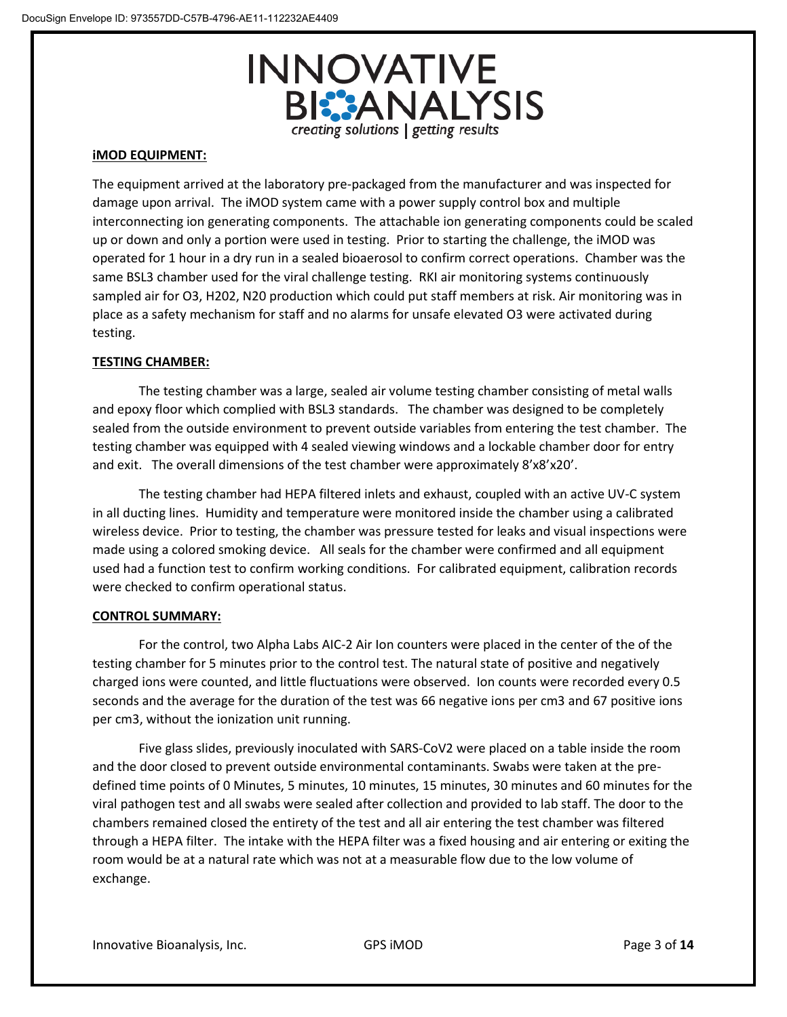

## **iMOD EQUIPMENT:**

The equipment arrived at the laboratory pre-packaged from the manufacturer and was inspected for damage upon arrival. The iMOD system came with a power supply control box and multiple interconnecting ion generating components. The attachable ion generating components could be scaled up or down and only a portion were used in testing. Prior to starting the challenge, the iMOD was operated for 1 hour in a dry run in a sealed bioaerosol to confirm correct operations. Chamber was the same BSL3 chamber used for the viral challenge testing. RKI air monitoring systems continuously sampled air for O3, H202, N20 production which could put staff members at risk. Air monitoring was in place as a safety mechanism for staff and no alarms for unsafe elevated O3 were activated during testing.

## **TESTING CHAMBER:**

The testing chamber was a large, sealed air volume testing chamber consisting of metal walls and epoxy floor which complied with BSL3 standards. The chamber was designed to be completely sealed from the outside environment to prevent outside variables from entering the test chamber. The testing chamber was equipped with 4 sealed viewing windows and a lockable chamber door for entry and exit. The overall dimensions of the test chamber were approximately 8'x8'x20'.

The testing chamber had HEPA filtered inlets and exhaust, coupled with an active UV-C system in all ducting lines. Humidity and temperature were monitored inside the chamber using a calibrated wireless device. Prior to testing, the chamber was pressure tested for leaks and visual inspections were made using a colored smoking device. All seals for the chamber were confirmed and all equipment used had a function test to confirm working conditions. For calibrated equipment, calibration records were checked to confirm operational status.

#### **CONTROL SUMMARY:**

For the control, two Alpha Labs AIC-2 Air Ion counters were placed in the center of the of the testing chamber for 5 minutes prior to the control test. The natural state of positive and negatively charged ions were counted, and little fluctuations were observed. Ion counts were recorded every 0.5 seconds and the average for the duration of the test was 66 negative ions per cm3 and 67 positive ions per cm3, without the ionization unit running.

Five glass slides, previously inoculated with SARS-CoV2 were placed on a table inside the room and the door closed to prevent outside environmental contaminants. Swabs were taken at the predefined time points of 0 Minutes, 5 minutes, 10 minutes, 15 minutes, 30 minutes and 60 minutes for the viral pathogen test and all swabs were sealed after collection and provided to lab staff. The door to the chambers remained closed the entirety of the test and all air entering the test chamber was filtered through a HEPA filter. The intake with the HEPA filter was a fixed housing and air entering or exiting the room would be at a natural rate which was not at a measurable flow due to the low volume of exchange.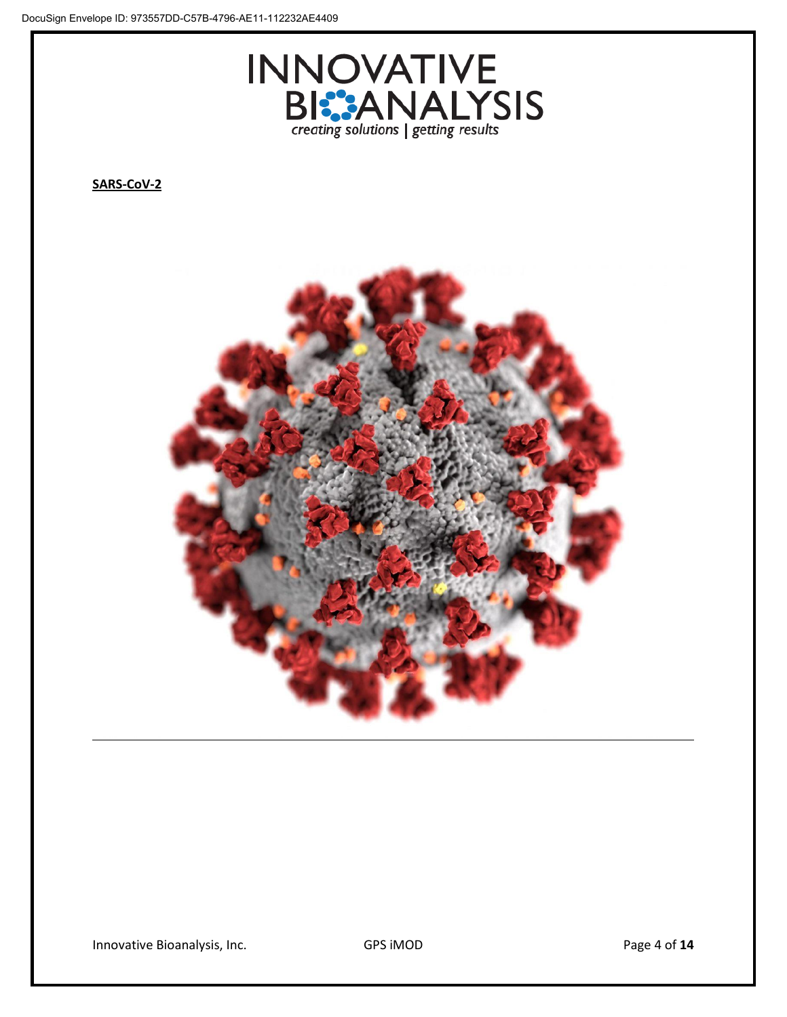

**SARS-CoV-2**



Innovative Bioanalysis, Inc. **GPS iMOD Example 2** of 14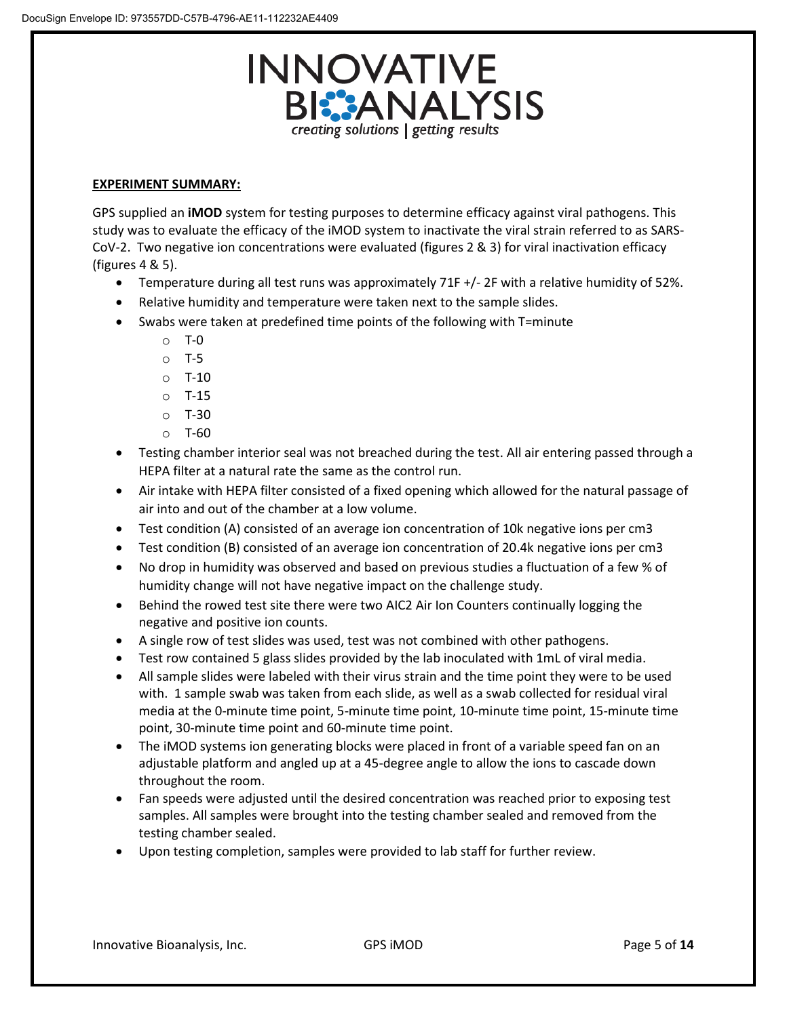

#### **EXPERIMENT SUMMARY:**

GPS supplied an **iMOD** system for testing purposes to determine efficacy against viral pathogens. This study was to evaluate the efficacy of the iMOD system to inactivate the viral strain referred to as SARS-CoV-2. Two negative ion concentrations were evaluated (figures 2 & 3) for viral inactivation efficacy (figures 4 & 5).

- Temperature during all test runs was approximately 71F +/- 2F with a relative humidity of 52%.
- Relative humidity and temperature were taken next to the sample slides.
- Swabs were taken at predefined time points of the following with T=minute
	- o T-0
	- o T-5
	- $O$  T-10
	- o T-15
	- o T-30
	- $O$  T-60
- Testing chamber interior seal was not breached during the test. All air entering passed through a HEPA filter at a natural rate the same as the control run.
- Air intake with HEPA filter consisted of a fixed opening which allowed for the natural passage of air into and out of the chamber at a low volume.
- Test condition (A) consisted of an average ion concentration of 10k negative ions per cm3
- Test condition (B) consisted of an average ion concentration of 20.4k negative ions per cm3
- No drop in humidity was observed and based on previous studies a fluctuation of a few % of humidity change will not have negative impact on the challenge study.
- Behind the rowed test site there were two AIC2 Air Ion Counters continually logging the negative and positive ion counts.
- A single row of test slides was used, test was not combined with other pathogens.
- Test row contained 5 glass slides provided by the lab inoculated with 1mL of viral media.
- All sample slides were labeled with their virus strain and the time point they were to be used with. 1 sample swab was taken from each slide, as well as a swab collected for residual viral media at the 0-minute time point, 5-minute time point, 10-minute time point, 15-minute time point, 30-minute time point and 60-minute time point.
- The iMOD systems ion generating blocks were placed in front of a variable speed fan on an adjustable platform and angled up at a 45-degree angle to allow the ions to cascade down throughout the room.
- Fan speeds were adjusted until the desired concentration was reached prior to exposing test samples. All samples were brought into the testing chamber sealed and removed from the testing chamber sealed.
- Upon testing completion, samples were provided to lab staff for further review.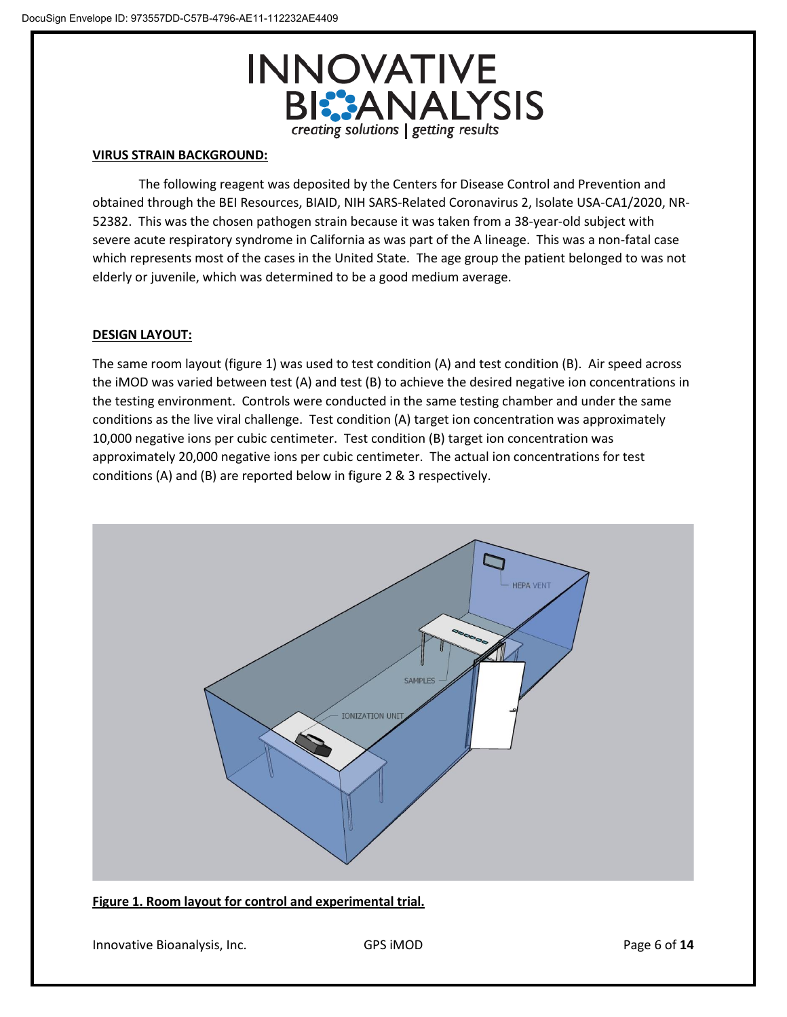

## **VIRUS STRAIN BACKGROUND:**

The following reagent was deposited by the Centers for Disease Control and Prevention and obtained through the BEI Resources, BIAID, NIH SARS-Related Coronavirus 2, Isolate USA-CA1/2020, NR-52382. This was the chosen pathogen strain because it was taken from a 38-year-old subject with severe acute respiratory syndrome in California as was part of the A lineage. This was a non-fatal case which represents most of the cases in the United State. The age group the patient belonged to was not elderly or juvenile, which was determined to be a good medium average.

# **DESIGN LAYOUT:**

The same room layout (figure 1) was used to test condition (A) and test condition (B). Air speed across the iMOD was varied between test (A) and test (B) to achieve the desired negative ion concentrations in the testing environment. Controls were conducted in the same testing chamber and under the same conditions as the live viral challenge. Test condition (A) target ion concentration was approximately 10,000 negative ions per cubic centimeter. Test condition (B) target ion concentration was approximately 20,000 negative ions per cubic centimeter. The actual ion concentrations for test conditions (A) and (B) are reported below in figure 2 & 3 respectively.



#### **Figure 1. Room layout for control and experimental trial.**

Innovative Bioanalysis, Inc. **GPS iMOD CONS Page 6 of 14**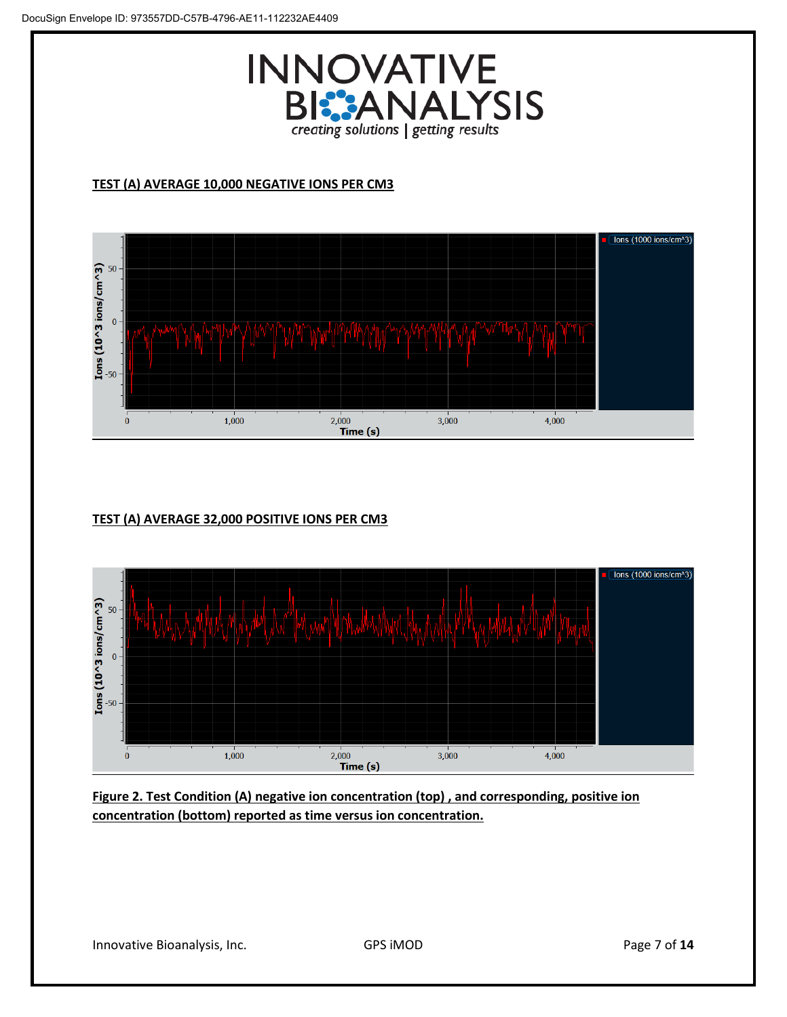

# **TEST (A) AVERAGE 10,000 NEGATIVE IONS PER CM3**



# **TEST (A) AVERAGE 32,000 POSITIVE IONS PER CM3**



**Figure 2. Test Condition (A) negative ion concentration (top) , and corresponding, positive ion concentration (bottom) reported as time versus ion concentration.**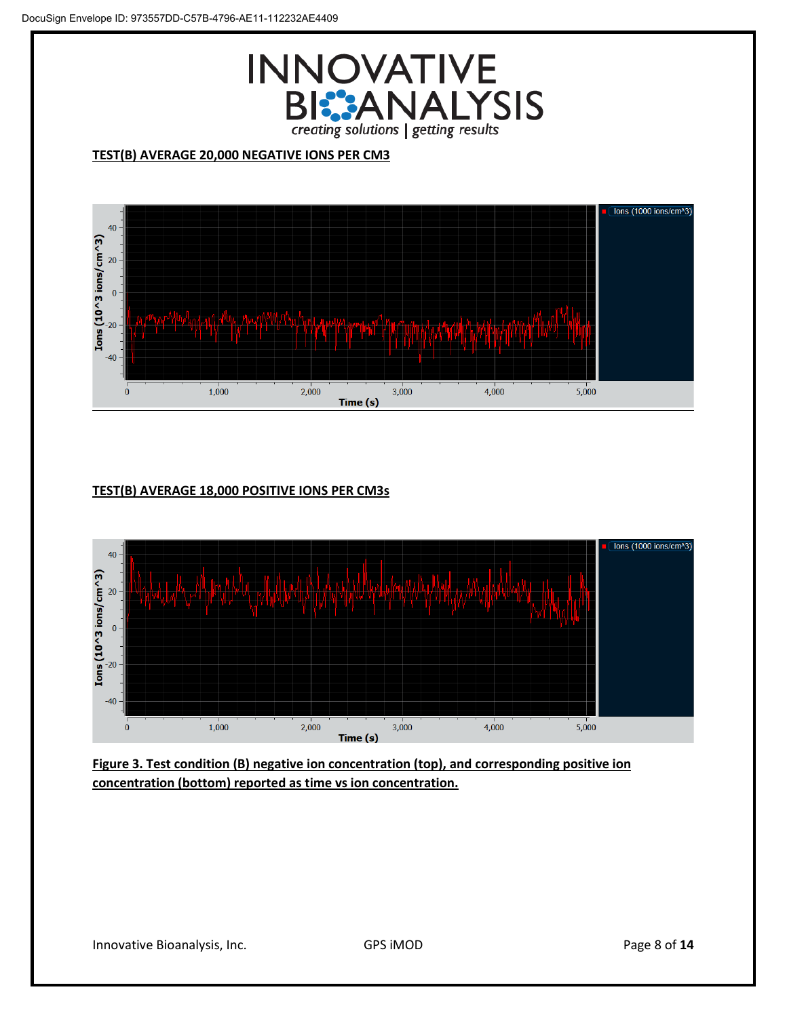

# **TEST(B) AVERAGE 20,000 NEGATIVE IONS PER CM3**



# **TEST(B) AVERAGE 18,000 POSITIVE IONS PER CM3s**



**Figure 3. Test condition (B) negative ion concentration (top), and corresponding positive ion concentration (bottom) reported as time vs ion concentration.**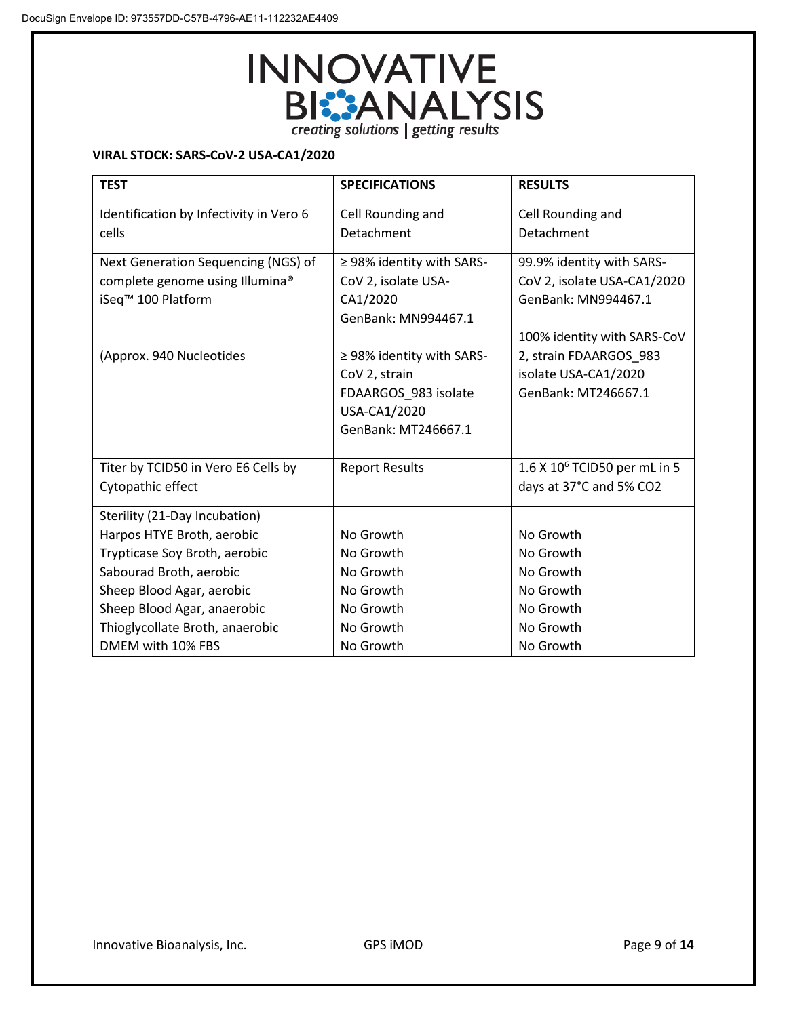

## **VIRAL STOCK: SARS-CoV-2 USA-CA1/2020**

| <b>TEST</b>                             | <b>SPECIFICATIONS</b>          | <b>RESULTS</b>                           |
|-----------------------------------------|--------------------------------|------------------------------------------|
| Identification by Infectivity in Vero 6 | Cell Rounding and              | Cell Rounding and                        |
| cells                                   | Detachment                     | Detachment                               |
| Next Generation Sequencing (NGS) of     | $\geq$ 98% identity with SARS- | 99.9% identity with SARS-                |
| complete genome using Illumina®         | CoV 2, isolate USA-            | CoV 2, isolate USA-CA1/2020              |
| iSeq <sup>™</sup> 100 Platform          | CA1/2020                       | GenBank: MN994467.1                      |
|                                         | GenBank: MN994467.1            |                                          |
|                                         |                                | 100% identity with SARS-CoV              |
| (Approx. 940 Nucleotides                | ≥ 98% identity with SARS-      | 2, strain FDAARGOS_983                   |
|                                         | CoV 2, strain                  | isolate USA-CA1/2020                     |
|                                         | FDAARGOS 983 isolate           | GenBank: MT246667.1                      |
|                                         | USA-CA1/2020                   |                                          |
|                                         | GenBank: MT246667.1            |                                          |
|                                         |                                |                                          |
| Titer by TCID50 in Vero E6 Cells by     | <b>Report Results</b>          | 1.6 X 10 <sup>6</sup> TCID50 per mL in 5 |
| Cytopathic effect                       |                                | days at 37°C and 5% CO2                  |
| Sterility (21-Day Incubation)           |                                |                                          |
| Harpos HTYE Broth, aerobic              | No Growth                      | No Growth                                |
| Trypticase Soy Broth, aerobic           | No Growth                      | No Growth                                |
| Sabourad Broth, aerobic                 | No Growth                      | No Growth                                |
| Sheep Blood Agar, aerobic               | No Growth                      | No Growth                                |
| Sheep Blood Agar, anaerobic             | No Growth                      | No Growth                                |
| Thioglycollate Broth, anaerobic         | No Growth                      | No Growth                                |
| DMEM with 10% FBS                       | No Growth                      | No Growth                                |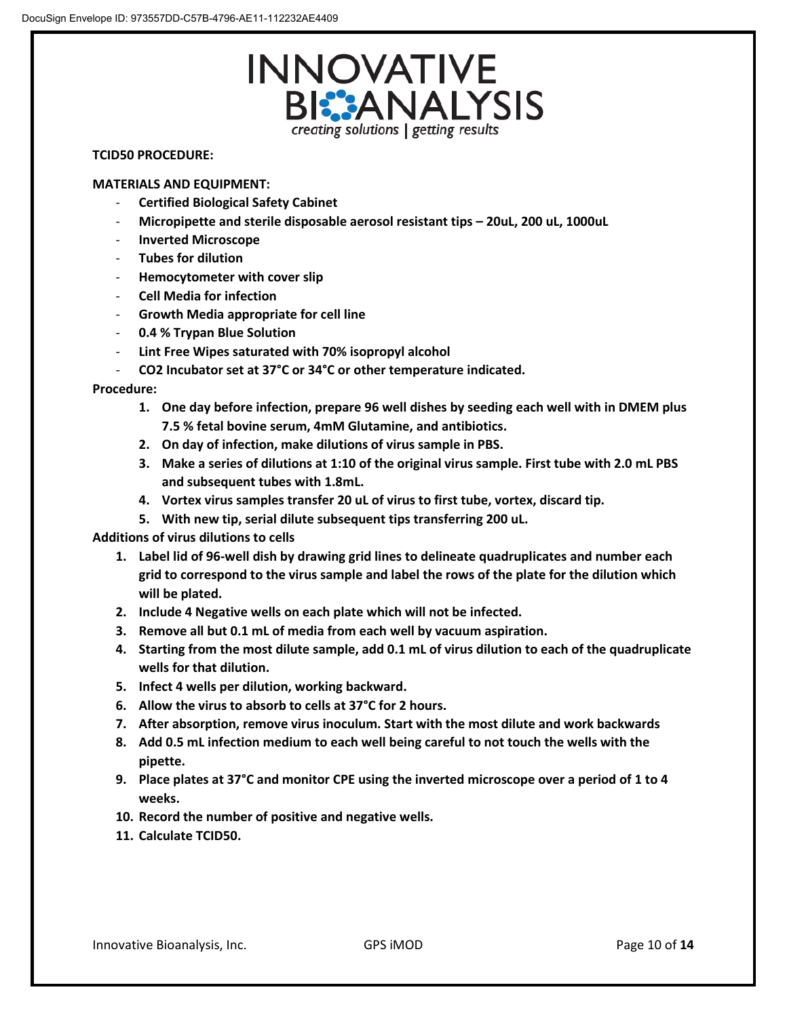

## **TCID50 PROCEDURE:**

#### **MATERIALS AND EQUIPMENT:**

- **Certified Biological Safety Cabinet**
- **Micropipette and sterile disposable aerosol resistant tips – 20uL, 200 uL, 1000uL**
- **Inverted Microscope**
- **Tubes for dilution**
- **Hemocytometer with cover slip**
- **Cell Media for infection**
- **Growth Media appropriate for cell line**
- **0.4 % Trypan Blue Solution**
- Lint Free Wipes saturated with 70% isopropyl alcohol
- **CO2 Incubator set at 37°C or 34°C or other temperature indicated.**

## **Procedure:**

- **1. One day before infection, prepare 96 well dishes by seeding each well with in DMEM plus 7.5 % fetal bovine serum, 4mM Glutamine, and antibiotics.**
- **2. On day of infection, make dilutions of virus sample in PBS.**
- **3. Make a series of dilutions at 1:10 of the original virus sample. First tube with 2.0 mL PBS and subsequent tubes with 1.8mL.**
- **4. Vortex virus samples transfer 20 uL of virus to first tube, vortex, discard tip.**
- **5. With new tip, serial dilute subsequent tips transferring 200 uL.**

# **Additions of virus dilutions to cells**

- **1. Label lid of 96-well dish by drawing grid lines to delineate quadruplicates and number each grid to correspond to the virus sample and label the rows of the plate for the dilution which will be plated.**
- **2. Include 4 Negative wells on each plate which will not be infected.**
- **3. Remove all but 0.1 mL of media from each well by vacuum aspiration.**
- **4. Starting from the most dilute sample, add 0.1 mL of virus dilution to each of the quadruplicate wells for that dilution.**
- **5. Infect 4 wells per dilution, working backward.**
- **6. Allow the virus to absorb to cells at 37°C for 2 hours.**
- **7. After absorption, remove virus inoculum. Start with the most dilute and work backwards**
- **8. Add 0.5 mL infection medium to each well being careful to not touch the wells with the pipette.**
- **9. Place plates at 37°C and monitor CPE using the inverted microscope over a period of 1 to 4 weeks.**
- **10. Record the number of positive and negative wells.**
- **11. Calculate TCID50.**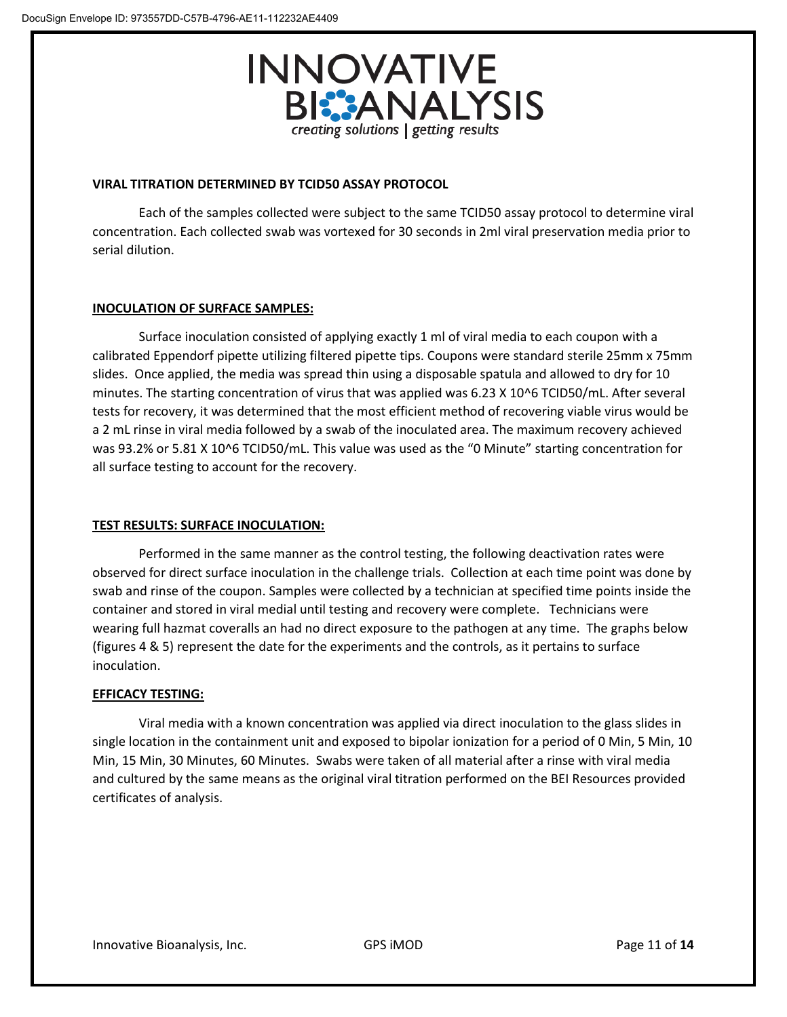

#### **VIRAL TITRATION DETERMINED BY TCID50 ASSAY PROTOCOL**

Each of the samples collected were subject to the same TCID50 assay protocol to determine viral concentration. Each collected swab was vortexed for 30 seconds in 2ml viral preservation media prior to serial dilution.

## **INOCULATION OF SURFACE SAMPLES:**

Surface inoculation consisted of applying exactly 1 ml of viral media to each coupon with a calibrated Eppendorf pipette utilizing filtered pipette tips. Coupons were standard sterile 25mm x 75mm slides. Once applied, the media was spread thin using a disposable spatula and allowed to dry for 10 minutes. The starting concentration of virus that was applied was 6.23 X 10^6 TCID50/mL. After several tests for recovery, it was determined that the most efficient method of recovering viable virus would be a 2 mL rinse in viral media followed by a swab of the inoculated area. The maximum recovery achieved was 93.2% or 5.81 X 10^6 TCID50/mL. This value was used as the "0 Minute" starting concentration for all surface testing to account for the recovery.

# **TEST RESULTS: SURFACE INOCULATION:**

Performed in the same manner as the control testing, the following deactivation rates were observed for direct surface inoculation in the challenge trials. Collection at each time point was done by swab and rinse of the coupon. Samples were collected by a technician at specified time points inside the container and stored in viral medial until testing and recovery were complete. Technicians were wearing full hazmat coveralls an had no direct exposure to the pathogen at any time. The graphs below (figures 4 & 5) represent the date for the experiments and the controls, as it pertains to surface inoculation.

# **EFFICACY TESTING:**

Viral media with a known concentration was applied via direct inoculation to the glass slides in single location in the containment unit and exposed to bipolar ionization for a period of 0 Min, 5 Min, 10 Min, 15 Min, 30 Minutes, 60 Minutes. Swabs were taken of all material after a rinse with viral media and cultured by the same means as the original viral titration performed on the BEI Resources provided certificates of analysis.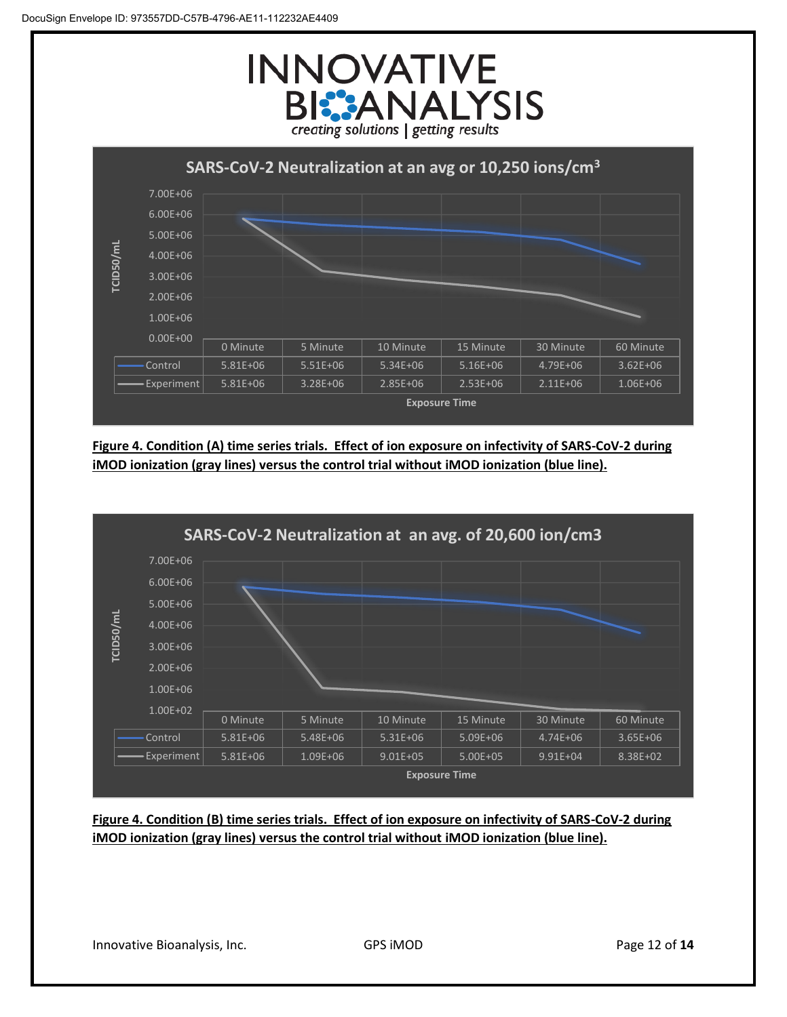



**Figure 4. Condition (A) time series trials. Effect of ion exposure on infectivity of SARS-CoV-2 during iMOD ionization (gray lines) versus the control trial without iMOD ionization (blue line).**



**Figure 4. Condition (B) time series trials. Effect of ion exposure on infectivity of SARS-CoV-2 during iMOD ionization (gray lines) versus the control trial without iMOD ionization (blue line).**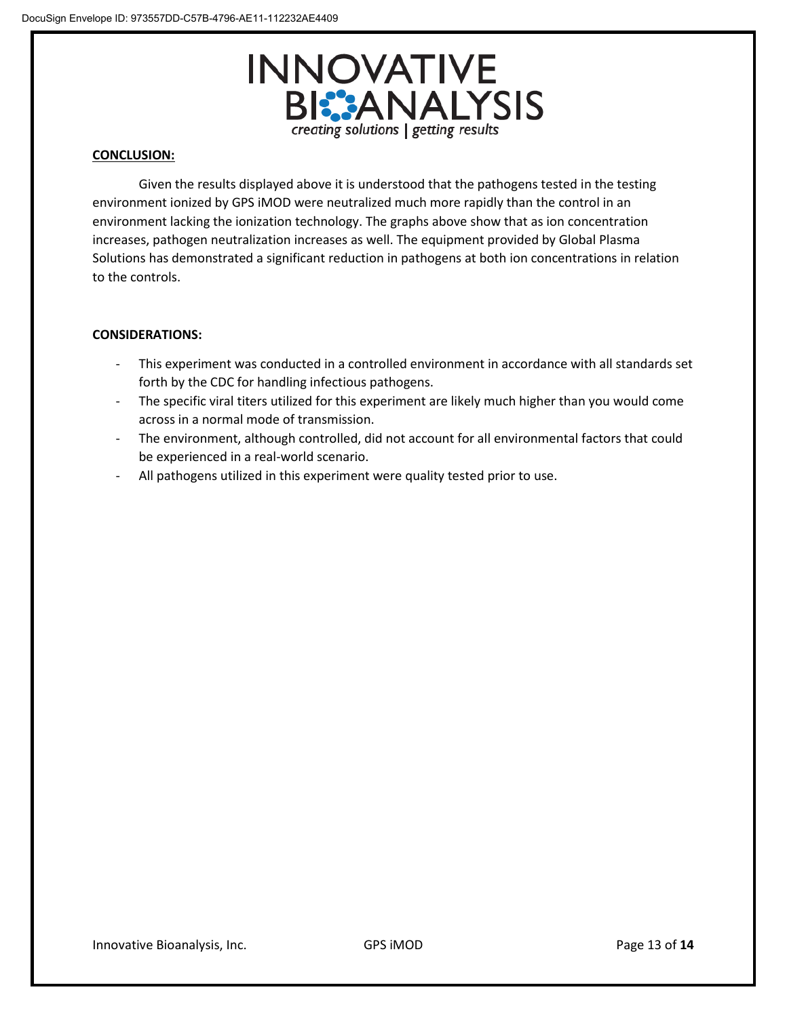

## **CONCLUSION:**

Given the results displayed above it is understood that the pathogens tested in the testing environment ionized by GPS iMOD were neutralized much more rapidly than the control in an environment lacking the ionization technology. The graphs above show that as ion concentration increases, pathogen neutralization increases as well. The equipment provided by Global Plasma Solutions has demonstrated a significant reduction in pathogens at both ion concentrations in relation to the controls.

## **CONSIDERATIONS:**

- This experiment was conducted in a controlled environment in accordance with all standards set forth by the CDC for handling infectious pathogens.
- The specific viral titers utilized for this experiment are likely much higher than you would come across in a normal mode of transmission.
- The environment, although controlled, did not account for all environmental factors that could be experienced in a real-world scenario.
- All pathogens utilized in this experiment were quality tested prior to use.